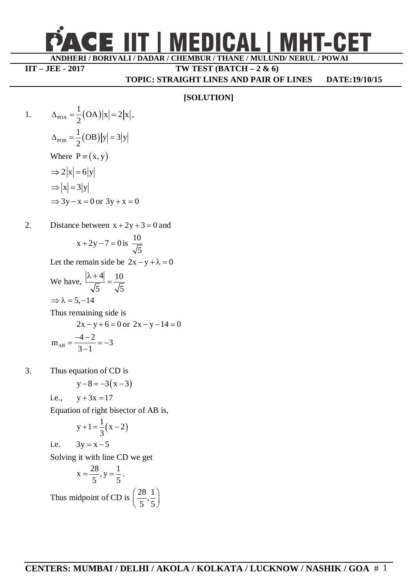

## **IIT – JEE - 2017 TW TEST (BATCH – 2 & 6)**

**TOPIC: STRAIGHT LINES AND PAIR OF LINES DATE:19/10/15**

## **[SOLUTION]**

1. 
$$
\Delta_{\text{POA}} = \frac{1}{2}(\text{OA})|x| = 2|x|,
$$

$$
\Delta_{\text{POB}} = \frac{1}{2}(\text{OB})|y| = 3|y|
$$
Where  $P = (x, y)$ 
$$
\Rightarrow 2|x| = 6|y|
$$

$$
\Rightarrow |x| = 3|y|
$$

$$
\Rightarrow 3y - x = 0 \text{ or } 3y + x = 0
$$

2. Distance between 
$$
x + 2y + 3 = 0
$$
 and

$$
x + 2y - 7 = 0
$$
 is  $\frac{10}{\sqrt{5}}$ 

Let the remain side be  $2x - y + \lambda = 0$ 

We have, 
$$
\frac{|\lambda + 4|}{\sqrt{5}} = \frac{10}{\sqrt{5}}
$$

$$
\Rightarrow \lambda = 5, -14
$$
Thus remaining side is
$$
2x - y + 6 = 0 \text{ or } 2x - y - 14 = 0
$$

$$
2x - y + 6 = 0 \text{ or } 2x - y - 14 =
$$

$$
m_{AB} = \frac{-4 - 2}{3 - 1} = -3
$$

3. Thus equation of CD is

 $y-8 = -3(x-3)$ 

i.e., 
$$
y + 3x = 17
$$

Equation of right bisector of AB is,

$$
y+1=\frac{1}{3}(x-2)
$$

i.e.  $3y = x - 5$ 

Solving it with line CD we get

$$
x = \frac{28}{5}, y = \frac{1}{5}.
$$
  
Thus midpoint of CD is  $\left(\frac{28}{5}, \frac{1}{5}\right)$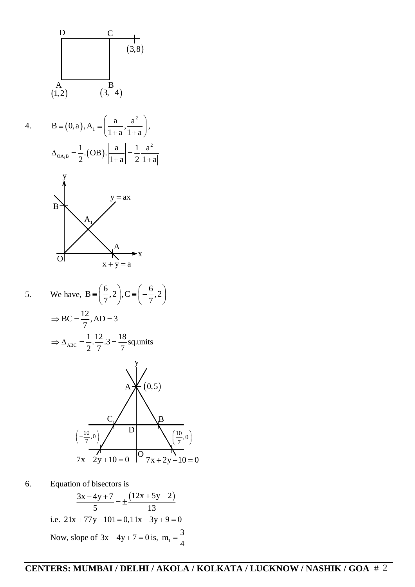

 $3x - 4y + 7 \qquad (12x + 5y - 2)$ 5 13  $\frac{-4y+7}{7} = \pm \frac{(12x+5y-2)}{12}$ i.e.  $21x + 77y - 101 = 0,11x - 3y + 9 = 0$ Now, slope of  $3x - 4y + 7 = 0$  is,  $m_1 = \frac{3}{4}$ 4  $=$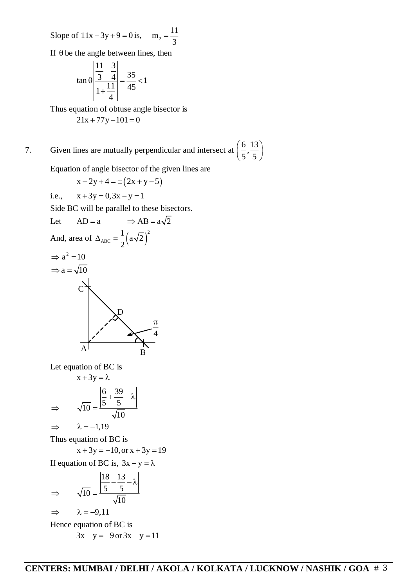Slope of  $11x - 3y + 9 = 0$  is,  $m_2 = \frac{11}{2}$ 3  $=$ 

If  $\theta$  be the angle between lines, then

$$
\tan \theta \left| \frac{\frac{11}{3} - \frac{3}{4}}{1 + \frac{11}{4}} \right| = \frac{35}{45} < 1
$$

Thus equation of obtuse angle bisector is  $21x + 77y - 101 = 0$ 

7. Given lines are mutually perpendicular and intersect at  $\left(\frac{6}{5}, \frac{13}{5}\right)$  $\left(\frac{6}{5}, \frac{13}{5}\right)$ 

Equation of angle bisector of the given lines are

$$
x - 2y + 4 = \pm (2x + y - 5)
$$

i.e.,  $x + 3y = 0, 3x - y = 1$ 

Side BC will be parallel to these bisectors.

Let 
$$
AD = a \implies AB = a\sqrt{2}
$$
  
\nAnd, area of  $\triangle_{ABC} = \frac{1}{2}(a\sqrt{2})^2$   
\n $\implies a^2 = 10$   
\n $\implies a = \sqrt{10}$   
\n $\therefore$ 

Let equation of BC is

$$
x + 3y = \lambda
$$
  
\n
$$
\Rightarrow \sqrt{10} = \frac{\left|\frac{6}{5} + \frac{39}{5} - \lambda\right|}{\sqrt{10}}
$$
  
\n
$$
\Rightarrow \lambda = -1,19
$$

Thus equation of BC is

 $x + 3y = -10$ , or  $x + 3y = 19$ 

If equation of BC is,  $3x - y = \lambda$ 

$$
\Rightarrow \sqrt{10} = \frac{\left| \frac{18}{5} - \frac{13}{5} - \lambda \right|}{\sqrt{10}}
$$
  
\n
$$
\Rightarrow \lambda = -9,11
$$
  
\nHence equation of BC is  
\n
$$
3x - y = -9 \text{ or } 3x - y = 11
$$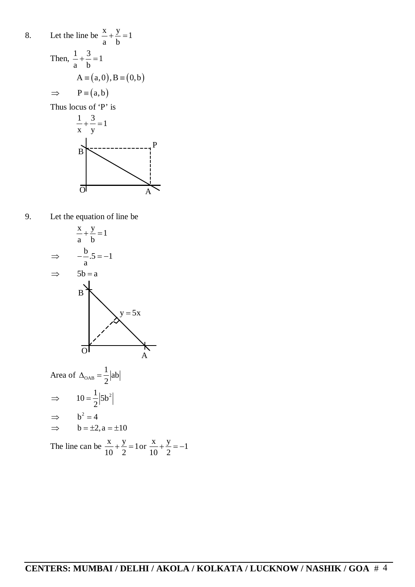

9. Let the equation of line be



Area of  $\Delta_{\text{OAB}} = \frac{1}{2} |ab|$ 2  $\Delta_{\text{OAB}} = \frac{1}{2}$  $10 = \frac{1}{2} | 5b^2$ 2  $\Rightarrow$  10 = - $\implies$  b<sup>2</sup> = 4  $\Rightarrow$  b =  $\pm 2$ , a =  $\pm 10$ The line can be  $\frac{x}{10} + \frac{y}{2} = 1$  $+\frac{y}{2} = 1$  or  $\frac{x}{10} + \frac{y}{2} = -1$  $+\frac{y}{2}=-1$ 

10 2

10 2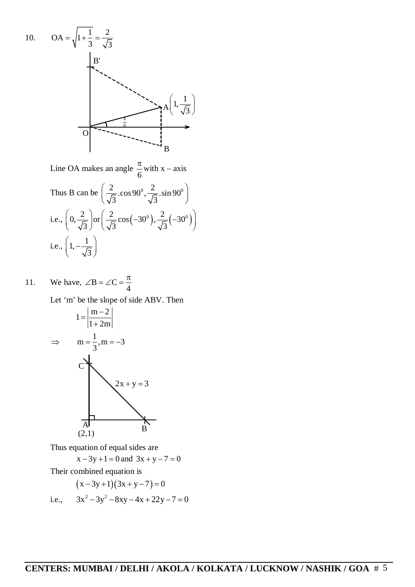10. 
$$
OA = \sqrt{1 + \frac{1}{3}} = \frac{2}{\sqrt{3}}
$$
  
\n  
\nB'  
\nC  
\nA  
\nA  
\nA  
\nB  
\nA  
\nA  
\nA  
\nB  
\nB  
\nC  
\nA  
\nB

Line OA makes an angle 6  $\frac{\pi}{4}$  with x – axis

Thus B can be 
$$
\left(\frac{2}{\sqrt{3}}.\cos 90^\circ, \frac{2}{\sqrt{3}}.\sin 90^\circ\right)
$$
  
i.e.,  $\left(0, \frac{2}{\sqrt{3}}\right) \text{or} \left(\frac{2}{\sqrt{3}}\cos(-30^\circ), \frac{2}{\sqrt{3}}(-30^\circ)\right)$   
i.e.,  $\left(1, -\frac{1}{\sqrt{3}}\right)$ 

11. We have,  $\angle B = \angle C$ 4  $\angle B = \angle C = \frac{\pi}{4}$ Let 'm' be the slope of side ABV. Then



Thus equation of equal sides are

$$
x - 3y + 1 = 0 \text{ and } 3x + y - 7 = 0
$$

Their combined equation is

$$
(x-3y+1)(3x+y-7) = 0
$$

i.e.,  $3x^2 - 3y^2 - 8xy - 4x + 22y - 7 = 0$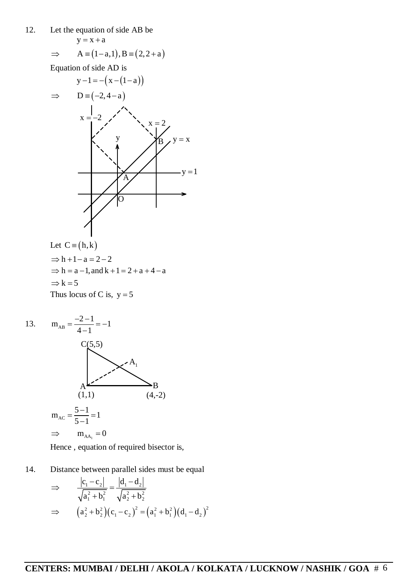12. Let the equation of side AB be

$$
y = x + a
$$

$$
\Rightarrow \qquad A \equiv (1 - a, 1), B \equiv (2, 2 + a)
$$

Equation of side AD is



Let C = (h,k)  
\n
$$
\Rightarrow
$$
 h + 1 - a = 2 - 2  
\n $\Rightarrow$  h = a - 1, and k + 1 = 2 + a + 4 - a  
\n $\Rightarrow$  k = 5  
\nThus locus of C is, y = 5



Hence , equation of required bisector is,

14. Distance between parallel sides must be equal

$$
\Rightarrow \frac{|c_1 - c_2|}{\sqrt{a_1^2 + b_1^2}} = \frac{|d_1 - d_2|}{\sqrt{a_2^2 + b_2^2}}
$$
  

$$
\Rightarrow (a_2^2 + b_2^2)(c_1 - c_2)^2 = (a_1^2 + b_1^2)(d_1 - d_2)^2
$$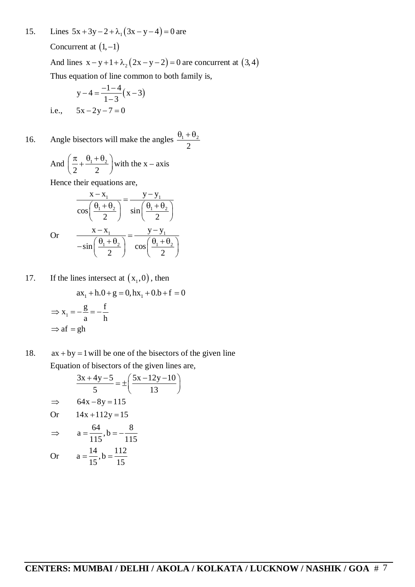15. Lines  $5x + 3y - 2 + \lambda_1(3x - y - 4) = 0$  are

Concurrent at  $(1, -1)$ 

And lines  $x-y+1+\lambda_2(2x-y-2)=0$  are concurrent at  $(3,4)$ Thus equation of line common to both family is,

$$
y-4 = \frac{-1-4}{1-3}(x-3)
$$
  
i.e.,  $5x-2y-7=0$ 

16. Angle bisectors will make the angles  $\frac{v_1 + v_2}{2}$ 2  $\theta_1 + \theta_2$ 

And 
$$
\left(\frac{\pi}{2} + \frac{\theta_1 + \theta_2}{2}\right)
$$
 with the x – axis

Hence their equations are,

$$
\frac{x - x_1}{\cos\left(\frac{\theta_1 + \theta_2}{2}\right)} = \frac{y - y_1}{\sin\left(\frac{\theta_1 + \theta_2}{2}\right)}
$$
  
Or 
$$
\frac{x - x_1}{-\sin\left(\frac{\theta_1 + \theta_2}{2}\right)} = \frac{y - y_1}{\cos\left(\frac{\theta_1 + \theta_2}{2}\right)}
$$

17. If the lines intersect at  $(x_1,0)$ , then

$$
ax_1 + h \cdot 0 + g = 0, \quad bx_1 + 0 \cdot b + f = 0
$$
  
\n
$$
\Rightarrow x_1 = -\frac{g}{a} = -\frac{f}{h}
$$
  
\n
$$
\Rightarrow af = gh
$$

18.  $ax + by = 1$  will be one of the bisectors of the given line Equation of bisectors of the given lines are,

$$
\frac{3x+4y-5}{5} = \pm \left(\frac{5x-12y-10}{13}\right)
$$
  
\n
$$
\Rightarrow 64x-8y = 115
$$
  
\nOr  $14x + 112y = 15$   
\n
$$
\Rightarrow a = \frac{64}{115}, b = -\frac{8}{115}
$$
  
\nOr  $a = \frac{14}{15}, b = \frac{112}{15}$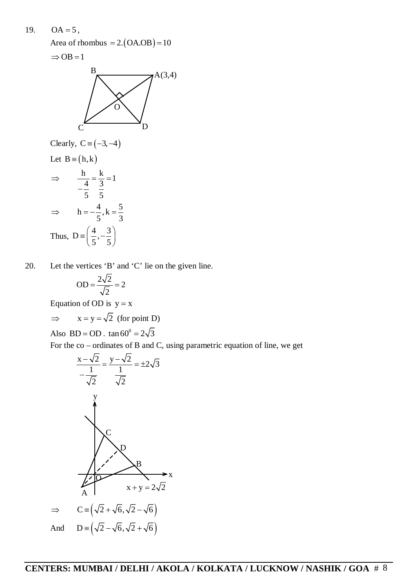19.  $OA = 5$ , Area of rhombus  $= 2. (OA. OB) = 10$ 



Clearly, C = (-3,-4)  
\nLet B = (h,k)  
\n
$$
\Rightarrow \frac{h}{\frac{4}{5}} = \frac{k}{\frac{3}{5}} = 1
$$
\n
$$
\Rightarrow h = -\frac{4}{5}, k = \frac{5}{3}
$$
\nThus, D =  $\left(\frac{4}{5}, -\frac{3}{5}\right)$ 

20. Let the vertices 'B' and 'C' lie on the given line.

$$
OD = \frac{2\sqrt{2}}{\sqrt{2}} = 2
$$

Equation of OD is  $y = x$ 

$$
\Rightarrow
$$
 x = y =  $\sqrt{2}$  (for point D)

Also BD = OD .  $\tan 60^\circ = 2\sqrt{3}$ 

For the co – ordinates of B and C, using parametric equation of line, we get

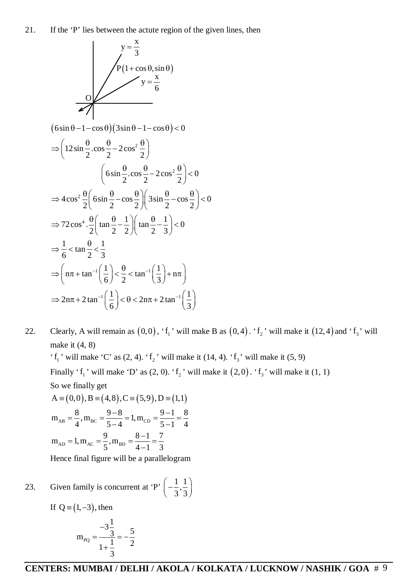

22. Clearly, A will remain as  $(0,0)$ , ' $f_1$ ' will make B as  $(0,4)$ . ' $f_2$ ' will make it  $(12,4)$  and ' $f_3$ ' will make it (4, 8)

' $f_1$ ' will make 'C' as (2, 4). ' $f_2$ ' will make it (14, 4). ' $f_3$ ' will make it (5, 9) Finally ' $f_1$ ' will make 'D' as (2, 0). ' $f_2$ ' will make it  $(2,0)$ . ' $f_3$ ' will make it (1, 1) So we finally get  $A = (0,0), B = (4,8), C = (5,9), D = (1,1)$ 

$$
m_{AB} = \frac{8}{4}, m_{BC} = \frac{9-8}{5-4} = 1, m_{CD} = \frac{9-1}{5-1} = \frac{8}{4}
$$
  

$$
m_{AD} = 1, m_{AC} = \frac{9}{5}, m_{BD} = \frac{8-1}{4-1} = \frac{7}{3}
$$

Hence final figure will be a parallelogram

23. Given family is concurrent at 'P'  $\left(-\frac{1}{2}, \frac{1}{2}\right)$  $3^{^{\prime}}3$  $\left(-\frac{1}{3},\frac{1}{3}\right)$ 

If 
$$
Q = (1, -3)
$$
, then

$$
m_{PQ} = \frac{-3\frac{1}{3}}{1+\frac{1}{3}} = -\frac{5}{2}
$$